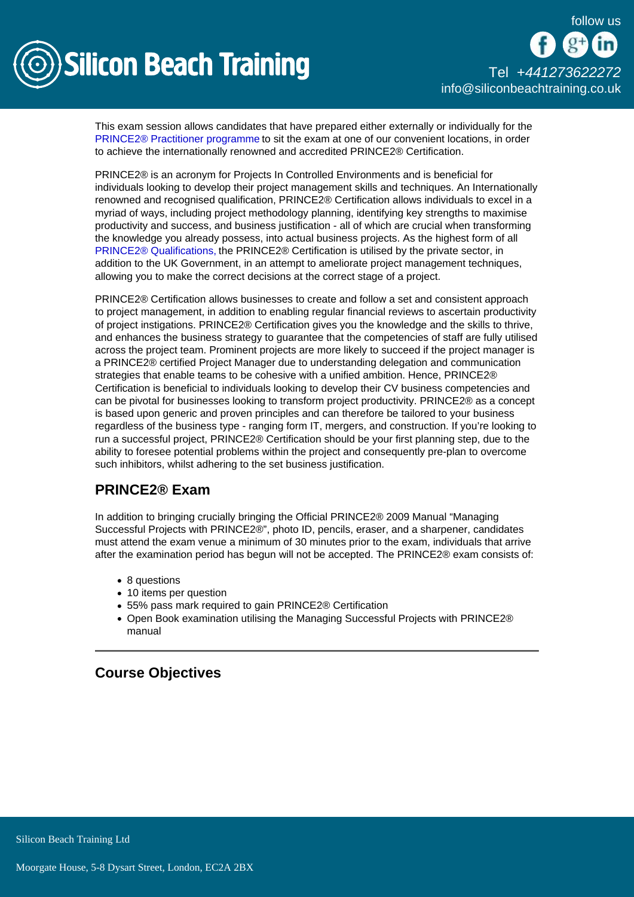

This exam session allows candidates that have prepared either externally or individually for the [PRINCE2® Practitioner programme](/prince2-training/prince2-practitioner-conversion) to sit the exam at one of our convenient locations, in order to achieve the internationally renowned and accredited PRINCE2® Certification.

PRINCE2® is an acronym for Projects In Controlled Environments and is beneficial for individuals looking to develop their project management skills and techniques. An Internationally renowned and recognised qualification, PRINCE2® Certification allows individuals to excel in a myriad of ways, including project methodology planning, identifying key strengths to maximise productivity and success, and business justification - all of which are crucial when transforming the knowledge you already possess, into actual business projects. As the highest form of all [PRINCE2® Qualifications,](/prince2-training) the PRINCE2® Certification is utilised by the private sector, in addition to the UK Government, in an attempt to ameliorate project management techniques, allowing you to make the correct decisions at the correct stage of a project.

PRINCE2® Certification allows businesses to create and follow a set and consistent approach to project management, in addition to enabling regular financial reviews to ascertain productivity of project instigations. PRINCE2® Certification gives you the knowledge and the skills to thrive, and enhances the business strategy to guarantee that the competencies of staff are fully utilised across the project team. Prominent projects are more likely to succeed if the project manager is a PRINCE2® certified Project Manager due to understanding delegation and communication strategies that enable teams to be cohesive with a unified ambition. Hence, PRINCE2® Certification is beneficial to individuals looking to develop their CV business competencies and can be pivotal for businesses looking to transform project productivity. PRINCE2® as a concept is based upon generic and proven principles and can therefore be tailored to your business regardless of the business type - ranging form IT, mergers, and construction. If you're looking to run a successful project, PRINCE2® Certification should be your first planning step, due to the ability to foresee potential problems within the project and consequently pre-plan to overcome such inhibitors, whilst adhering to the set business justification.

## PRINCE2® Exam

In addition to bringing crucially bringing the Official PRINCE2® 2009 Manual "Managing Successful Projects with PRINCE2®", photo ID, pencils, eraser, and a sharpener, candidates must attend the exam venue a minimum of 30 minutes prior to the exam, individuals that arrive after the examination period has begun will not be accepted. The PRINCE2® exam consists of:

- 8 questions
- 10 items per question
- 55% pass mark required to gain PRINCE2® Certification
- Open Book examination utilising the Managing Successful Projects with PRINCE2® manual

Course Objectives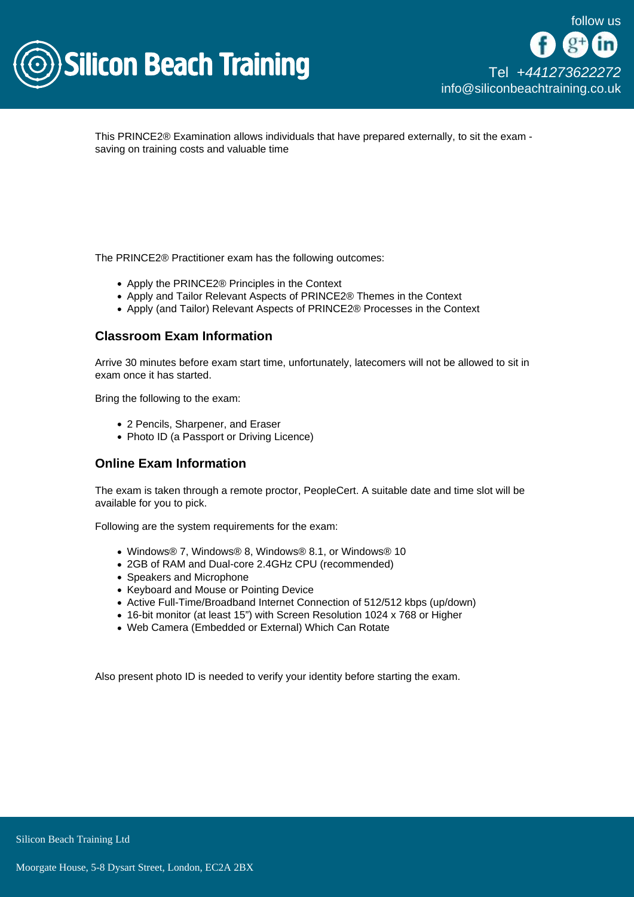

This PRINCE2® Examination allows individuals that have prepared externally, to sit the exam saving on training costs and valuable time

The PRINCE2® Practitioner exam has the following outcomes:

- Apply the PRINCE2® Principles in the Context
- Apply and Tailor Relevant Aspects of PRINCE2® Themes in the Context
- Apply (and Tailor) Relevant Aspects of PRINCE2® Processes in the Context

## Classroom Exam Information

Arrive 30 minutes before exam start time, unfortunately, latecomers will not be allowed to sit in exam once it has started.

Bring the following to the exam:

- 2 Pencils, Sharpener, and Eraser
- Photo ID (a Passport or Driving Licence)

## Online Exam Information

The exam is taken through a remote proctor, PeopleCert. A suitable date and time slot will be available for you to pick.

Following are the system requirements for the exam:

- Windows® 7, Windows® 8, Windows® 8.1, or Windows® 10
- 2GB of RAM and Dual-core 2.4GHz CPU (recommended)
- Speakers and Microphone
- Keyboard and Mouse or Pointing Device
- Active Full-Time/Broadband Internet Connection of 512/512 kbps (up/down)
- 16-bit monitor (at least 15") with Screen Resolution 1024 x 768 or Higher
- Web Camera (Embedded or External) Which Can Rotate

Also present photo ID is needed to verify your identity before starting the exam.